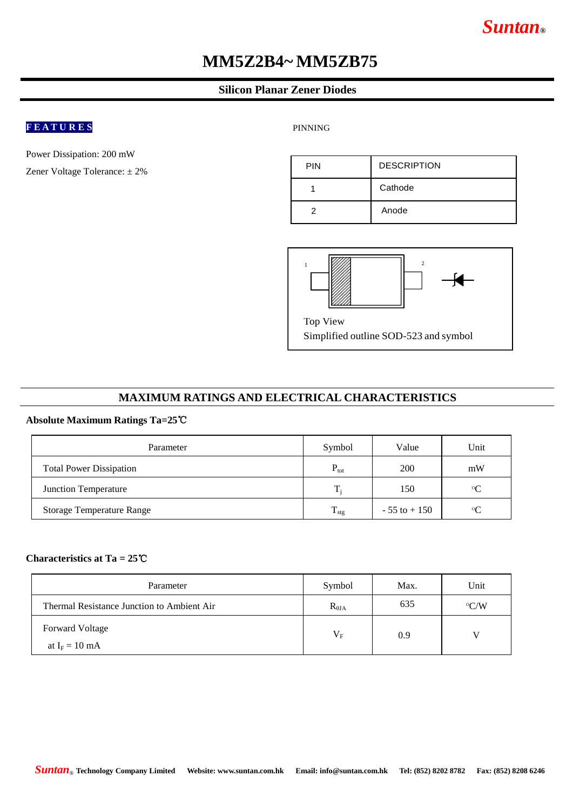# *Suntan***®**

# **MM5Z2B4~ MM5ZB75**

#### **Silicon Planar Zener Diodes**

### **F E A T U R E S**

Power Dissipation: 200 mW

Zener Voltage Tolerance: ± 2%

PINNING

| <b>PIN</b> | <b>DESCRIPTION</b> |
|------------|--------------------|
|            | Cathode            |
|            | Anode              |



Simplified outline SOD-523 and symbol

#### **MAXIMUM RATINGS AND ELECTRICAL CHARACTERISTICS**

#### **Absolute Maximum Ratings Ta=25**℃

| Parameter                        | Symbol            | Value           | Unit      |
|----------------------------------|-------------------|-----------------|-----------|
| <b>Total Power Dissipation</b>   | $P_{\text{tot}}$  | 200             | mW        |
| Junction Temperature             | $T_i$             | 150             | $\circ$ C |
| <b>Storage Temperature Range</b> | $\frac{1}{1}$ stg | $-55$ to $+150$ | $\circ$   |

#### **Characteristics at Ta = 25**℃

| Parameter                                  | Symbol          | Max. | Unit          |
|--------------------------------------------|-----------------|------|---------------|
| Thermal Resistance Junction to Ambient Air | $R_{\theta JA}$ | 635  | $\rm ^{o}C/W$ |
| Forward Voltage                            | $V_{F}$         | 0.9  |               |
| at $I_F = 10$ mA                           |                 |      |               |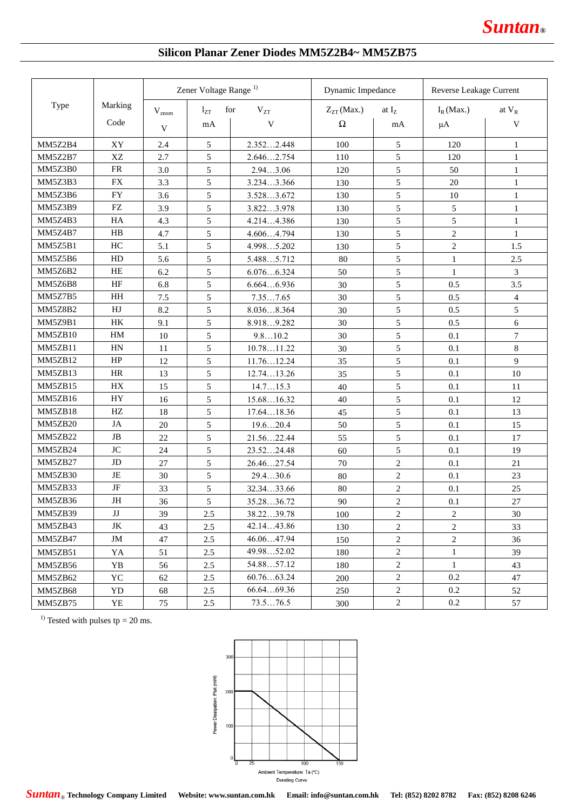### **Silicon Planar Zener Diodes MM5Z2B4~ MM5ZB75**

| Type    |                            | Zener Voltage Range <sup>1)</sup> |     |            | Dynamic Impedance |                          | Reverse Leakage Current |                |
|---------|----------------------------|-----------------------------------|-----|------------|-------------------|--------------------------|-------------------------|----------------|
|         | Marking                    | for<br>$l_{ZT}$<br>$V_{znom}$     |     | $V_{ZT}$   | $Z_{ZT}$ (Max.)   | at $\mathbf{I}_\text{Z}$ | $I_R$ (Max.)            | at $\rm V_R$   |
|         | Code                       | V                                 | mA  | V          | $\Omega$          | mA                       | $\mu A$                 | V              |
| MM5Z2B4 | XY                         | 2.4                               | 5   | 2.3522.448 | 100               | 5                        | 120                     | 1              |
| MM5Z2B7 | XZ                         | 2.7                               | 5   | 2.6462.754 | 110               | 5                        | 120                     | $\mathbf{1}$   |
| MM5Z3B0 | <b>FR</b>                  | 3.0                               | 5   | 2.943.06   | 120               | 5                        | 50                      | $\mathbf{1}$   |
| MM5Z3B3 | <b>FX</b>                  | 3.3                               | 5   | 3.2343.366 | 130               | 5                        | 20                      | $\mathbf{1}$   |
| MM5Z3B6 | <b>FY</b>                  | 3.6                               | 5   | 3.5283.672 | 130               | 5                        | 10                      | $\mathbf{1}$   |
| MM5Z3B9 | <b>FZ</b>                  | 3.9                               | 5   | 3.8223.978 | 130               | 5                        | 5                       | $\mathbf{1}$   |
| MM5Z4B3 | HA                         | 4.3                               | 5   | 4.2144.386 | 130               | 5                        | 5                       | $\mathbf{1}$   |
| MM5Z4B7 | H B                        | 4.7                               | 5   | 4.6064.794 | 130               | 5                        | $\overline{c}$          | $\mathbf{1}$   |
| MM5Z5B1 | HC                         | 5.1                               | 5   | 4.9985.202 | 130               | 5                        | $\overline{2}$          | 1.5            |
| MM5Z5B6 | HD                         | 5.6                               | 5   | 5.4885.712 | 80                | 5                        | $\mathbf{1}$            | 2.5            |
| MM5Z6B2 | HE                         | 6.2                               | 5   | 6.0766.324 | 50                | 5                        | $\mathbf{1}$            | 3              |
| MM5Z6B8 | HF                         | 6.8                               | 5   | 6.6646.936 | 30                | 5                        | 0.5                     | 3.5            |
| MM5Z7B5 | HH                         | 7.5                               | 5   | 7.357.65   | 30                | 5                        | 0.5                     | $\overline{4}$ |
| MM5Z8B2 | HJ                         | 8.2                               | 5   | 8.0368.364 | 30                | 5                        | 0.5                     | 5              |
| MM5Z9B1 | HK                         | 9.1                               | 5   | 8.9189.282 | 30                | 5                        | 0.5                     | $6\,$          |
| MM5ZB10 | $\mathop{\rm HM}\nolimits$ | 10                                | 5   | 9.810.2    | 30                | 5                        | 0.1                     | $\tau$         |
| MM5ZB11 | HN                         | 11                                | 5   | 10.7811.22 | 30                | 5                        | 0.1                     | 8              |
| MM5ZB12 | HP                         | 12                                | 5   | 11.7612.24 | 35                | 5                        | 0.1                     | $\overline{9}$ |
| MM5ZB13 | <b>HR</b>                  | 13                                | 5   | 12.7413.26 | 35                | 5                        | 0.1                     | 10             |
| MM5ZB15 | HX                         | 15                                | 5   | 14.715.3   | 40                | 5                        | 0.1                     | 11             |
| MM5ZB16 | <b>HY</b>                  | 16                                | 5   | 15.6816.32 | 40                | 5                        | 0.1                     | 12             |
| MM5ZB18 | HZ                         | 18                                | 5   | 17.6418.36 | 45                | 5                        | 0.1                     | 13             |
| MM5ZB20 | JA                         | 20                                | 5   | 19.620.4   | 50                | 5                        | 0.1                     | 15             |
| MM5ZB22 | $_{\rm JB}$                | 22                                | 5   | 21.5622.44 | 55                | 5                        | 0.1                     | 17             |
| MM5ZB24 | $\rm JC$                   | 24                                | 5   | 23.5224.48 | 60                | 5                        | 0.1                     | 19             |
| MM5ZB27 | $\rm JD$                   | 27                                | 5   | 26.4627.54 | 70                | $\mathbf{2}$             | 0.1                     | 21             |
| MM5ZB30 | JE                         | 30                                | 5   | 29.430.6   | 80                | $\overline{c}$           | 0.1                     | 23             |
| MM5ZB33 | JF                         | 33                                | 5   | 32.3433.66 | 80                | $\overline{c}$           | 0.1                     | 25             |
| MM5ZB36 | $\rm JH$                   | 36                                | 5   | 35.2836.72 | 90                | $\overline{c}$           | 0.1                     | 27             |
| MM5ZB39 | $\mathbf{J}\mathbf{J}$     | 39                                | 2.5 | 38.2239.78 | 100               | $\overline{c}$           | $\boldsymbol{2}$        | 30             |
| MM5ZB43 | JK                         | 43                                | 2.5 | 42.1443.86 | 130               | $\overline{c}$           | $\overline{2}$          | 33             |
| MM5ZB47 | JM                         | 47                                | 2.5 | 46.0647.94 | 150               | $\overline{c}$           | $\sqrt{2}$              | 36             |
| MM5ZB51 | YA                         | 51                                | 2.5 | 49.9852.02 | 180               | $\overline{2}$           | $\mathbf{1}$            | 39             |
| MM5ZB56 | YB                         | 56                                | 2.5 | 54.8857.12 | 180               | $\overline{c}$           | $\mathbf{1}$            | 43             |
| MM5ZB62 | YC                         | 62                                | 2.5 | 60.7663.24 | 200               | $\sqrt{2}$               | 0.2                     | 47             |
| MM5ZB68 | YD                         | 68                                | 2.5 | 66.6469.36 | 250               | $\sqrt{2}$               | 0.2                     | 52             |
| MM5ZB75 | YE                         | 75                                | 2.5 | 73.576.5   | 300               | $\overline{2}$           | 0.2                     | 57             |

<sup>1)</sup> Tested with pulses tp = 20 ms.